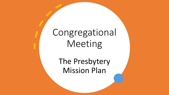# Congregational Meeting

The Presbytery Mission Plan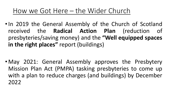#### How we Got Here – the Wider Church

•In 2019 the General Assembly of the Church of Scotland received the **Radical Action Plan** (reduction of presbyteries/saving money) and the **"Well equipped spaces in the right places"** report (buildings)

• May 2021: General Assembly approves the Presbytery Mission Plan Act (PMPA) tasking presbyteries to come up with a plan to reduce charges (and buildings) by December 2022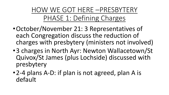HOW WE GOT HERE –PRESBYTERY PHASE 1: Defining Charges

- •October/November 21: 3 Representatives of each Congregation discuss the reduction of charges with presbytery (ministers not involved)
- •3 charges in North Ayr: Newton Wallacetown/St Quivox/St James (plus Lochside) discussed with presbytery
- •2-4 plans A-D: if plan is not agreed, plan A is default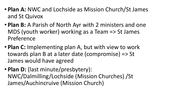- **Plan A:** NWC and Lochside as Mission Church/St James and St Quivox
- **Plan B:** A Parish of North Ayr with 2 ministers and one MDS (youth worker) working as a Team => St James Preference
- **Plan C:** Implementing plan A, but with view to work towards plan B at a later date (compromise) => St James would have agreed
- **Plan D:** (last minute/presbytery): NWC/Dalmilling/Lochside (Mission Churches) /St James/Auchincruive (Mission Church)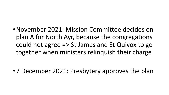•November 2021: Mission Committee decides on plan A for North Ayr, because the congregations could not agree => St James and St Quivox to go together when ministers relinquish their charge

•7 December 2021: Presbytery approves the plan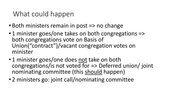### What could happen

- Both ministers remain in post => no change
- 1 minister goes/one takes on both congregations => both congregations vote on Basis of Union("contract")/vacant congregation votes on minister
- 1 minister goes/one does not take on both congregations/is not voted for => Deferred union/ joint nominating committee (this should happen)
- 2 ministers go: joint call/nominating committee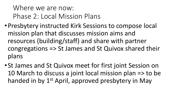## Where we are now: Phase 2: Local Mission Plans

- •Presbytery instructed Kirk Sessions to compose local mission plan that discusses mission aims and resources (building/staff) and share with partner congregations => St James and St Quivox shared their plans
- •St James and St Quivox meet for first joint Session on 10 March to discuss a joint local mission plan => to be handed in by 1<sup>st</sup> April, approved presbytery in May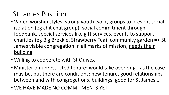## St James Position

- Varied worship styles, strong youth work, groups to prevent social isolation (eg chit chat group), social commitment through foodbank, special services like gift services, events to support charities (eg Big Brekkie, Strawberry Tea), community garden => St James viable congregation in all marks of mission, needs their building
- Willing to cooperate with St Quivox
- Minister on unrestricted tenure: would take over or go as the case may be, but there are conditions: new tenure, good relationships between and with congregations, buildings, good for St James…
- WE HAVE MADE NO COMMITMENTS YET